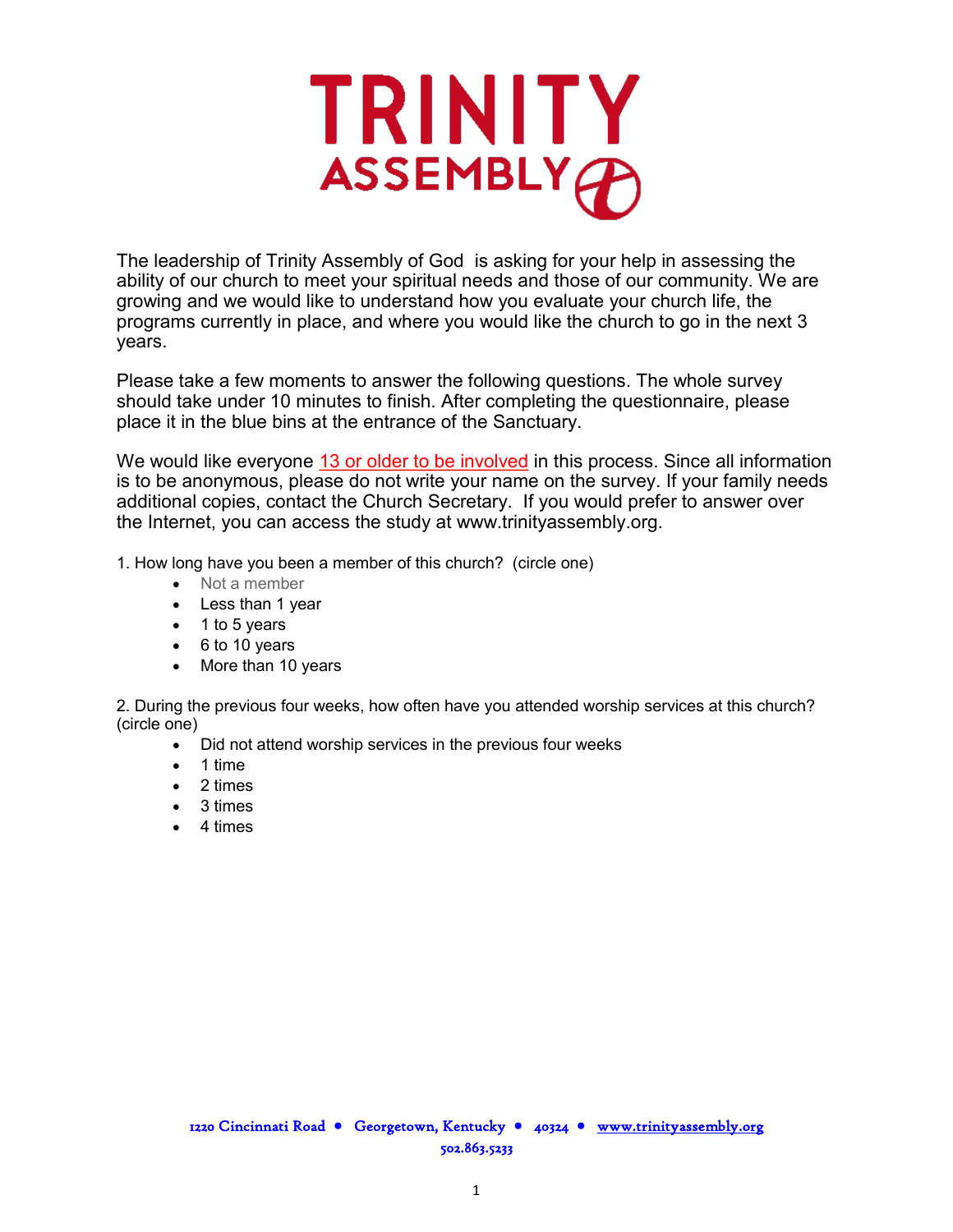

The leadership of Trinity Assembly of God is asking for your help in assessing the ability of our church to meet your spiritual needs and those of our community. We are growing and we would like to understand how you evaluate your church life, the programs currently in place, and where you would like the church to go in the next 3 years.

Please take a few moments to answer the following questions. The whole survey should take under 10 minutes to finish. After completing the questionnaire, please place it in the blue bins at the entrance of the Sanctuary.

We would like everyone 13 or older to be involved in this process. Since all information is to be anonymous, please do not write your name on the survey. If your family needs additional copies, contact the Church Secretary. If you would prefer to answer over the Internet, you can access the study at www.trinityassembly.org.

1. How long have you been a member of this church? (circle one)

- Not a member
- Less than 1 year
- $\bullet$  1 to 5 years
- $\bullet$  6 to 10 years
- More than 10 years

2. During the previous four weeks, how often have you attended worship services at this church? (circle one)

- Did not attend worship services in the previous four weeks
- 1 time
- 2 times
- 3 times
- 4 times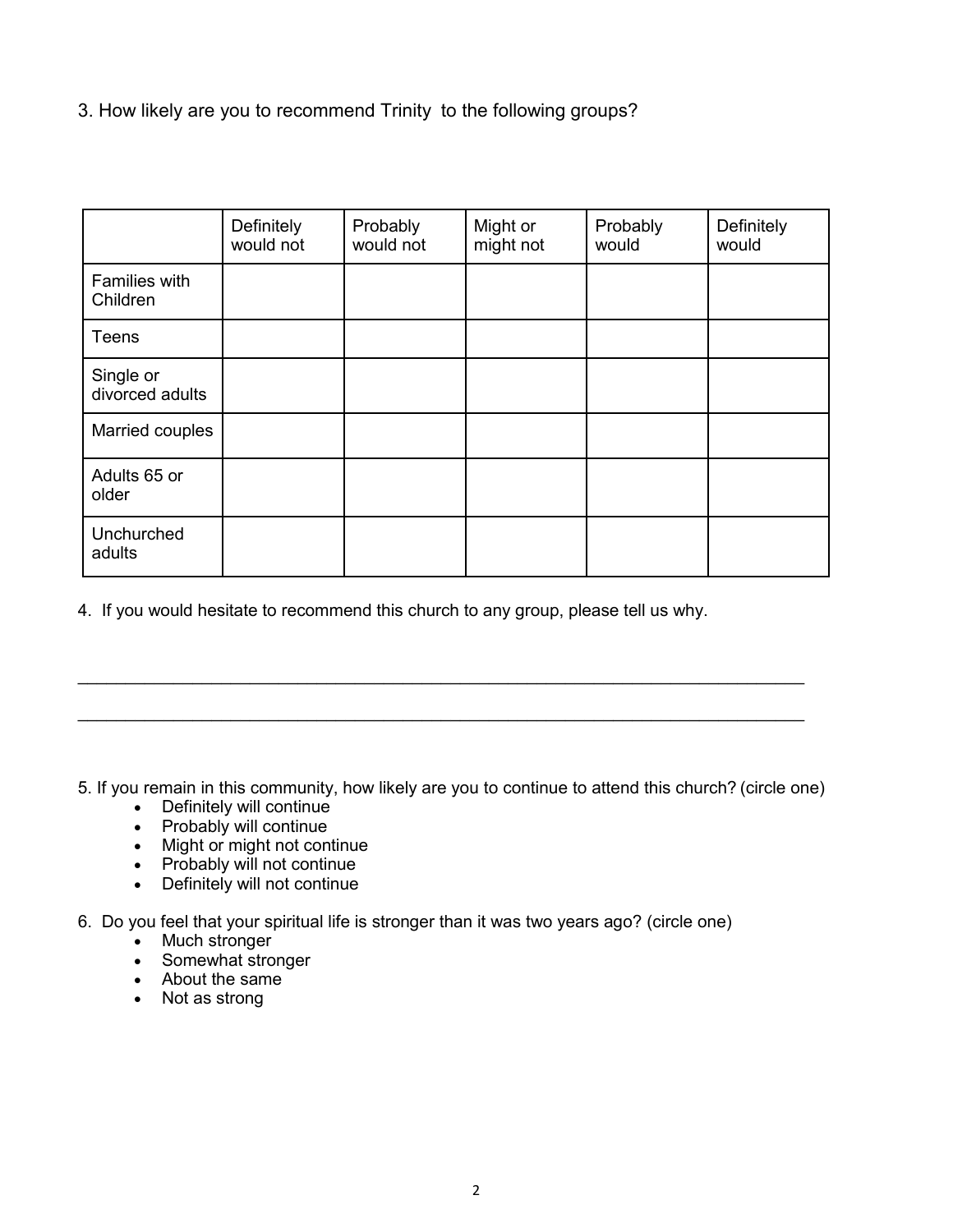3. How likely are you to recommend Trinity to the following groups?

|                              | Definitely<br>would not | Probably<br>would not | Might or<br>might not | Probably<br>would | Definitely<br>would |
|------------------------------|-------------------------|-----------------------|-----------------------|-------------------|---------------------|
| Families with<br>Children    |                         |                       |                       |                   |                     |
| <b>Teens</b>                 |                         |                       |                       |                   |                     |
| Single or<br>divorced adults |                         |                       |                       |                   |                     |
| Married couples              |                         |                       |                       |                   |                     |
| Adults 65 or<br>older        |                         |                       |                       |                   |                     |
| Unchurched<br>adults         |                         |                       |                       |                   |                     |

4. If you would hesitate to recommend this church to any group, please tell us why.

5. If you remain in this community, how likely are you to continue to attend this church? (circle one)

 $\mathcal{L}_\text{max}$  and  $\mathcal{L}_\text{max}$  and  $\mathcal{L}_\text{max}$  and  $\mathcal{L}_\text{max}$  and  $\mathcal{L}_\text{max}$  and  $\mathcal{L}_\text{max}$ 

 $\mathcal{L}_\text{max}$  and  $\mathcal{L}_\text{max}$  and  $\mathcal{L}_\text{max}$  and  $\mathcal{L}_\text{max}$  and  $\mathcal{L}_\text{max}$  and  $\mathcal{L}_\text{max}$ 

- Definitely will continue
- Probably will continue
- Might or might not continue
- Probably will not continue
- Definitely will not continue

6. Do you feel that your spiritual life is stronger than it was two years ago? (circle one)

- Much stronger
- Somewhat stronger
- About the same
- Not as strong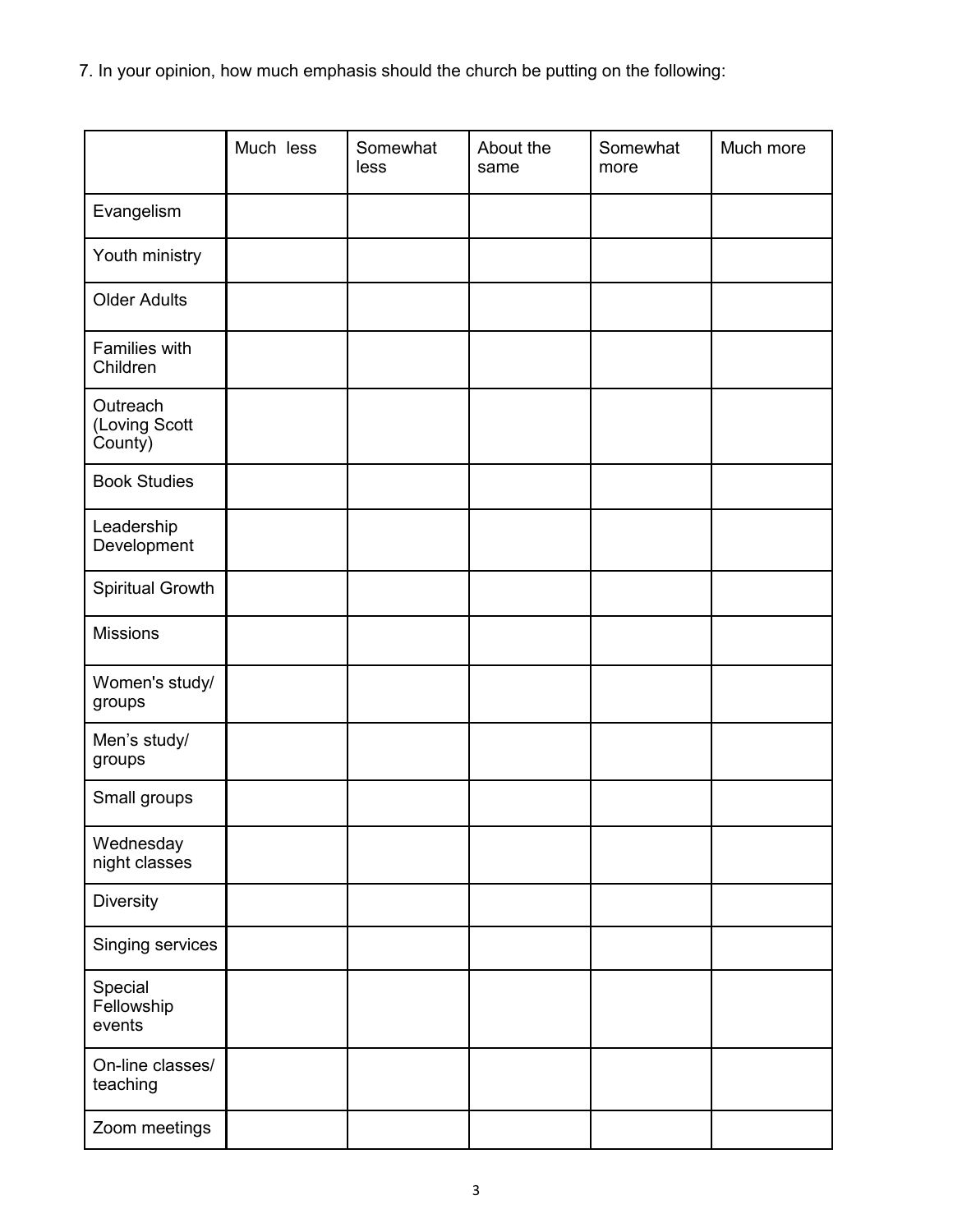7. In your opinion, how much emphasis should the church be putting on the following:

|                                      | Much less | Somewhat<br>less | About the<br>same | Somewhat<br>more | Much more |
|--------------------------------------|-----------|------------------|-------------------|------------------|-----------|
| Evangelism                           |           |                  |                   |                  |           |
| Youth ministry                       |           |                  |                   |                  |           |
| <b>Older Adults</b>                  |           |                  |                   |                  |           |
| Families with<br>Children            |           |                  |                   |                  |           |
| Outreach<br>(Loving Scott<br>County) |           |                  |                   |                  |           |
| <b>Book Studies</b>                  |           |                  |                   |                  |           |
| Leadership<br>Development            |           |                  |                   |                  |           |
| Spiritual Growth                     |           |                  |                   |                  |           |
| <b>Missions</b>                      |           |                  |                   |                  |           |
| Women's study/<br>groups             |           |                  |                   |                  |           |
| Men's study/<br>groups               |           |                  |                   |                  |           |
| Small groups                         |           |                  |                   |                  |           |
| Wednesday<br>night classes           |           |                  |                   |                  |           |
| Diversity                            |           |                  |                   |                  |           |
| Singing services                     |           |                  |                   |                  |           |
| Special<br>Fellowship<br>events      |           |                  |                   |                  |           |
| On-line classes/<br>teaching         |           |                  |                   |                  |           |
| Zoom meetings                        |           |                  |                   |                  |           |